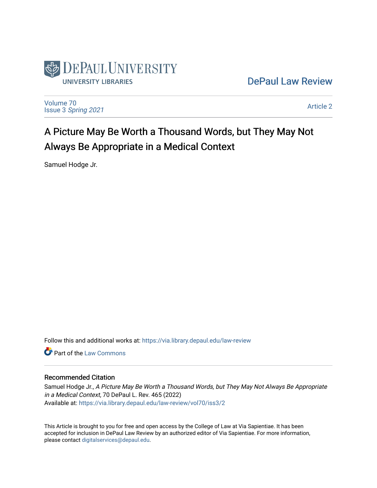

# [DePaul Law Review](https://via.library.depaul.edu/law-review)

[Volume 70](https://via.library.depaul.edu/law-review/vol70) Issue 3 [Spring 2021](https://via.library.depaul.edu/law-review/vol70/iss3) 

[Article 2](https://via.library.depaul.edu/law-review/vol70/iss3/2) 

# A Picture May Be Worth a Thousand Words, but They May Not Always Be Appropriate in a Medical Context

Samuel Hodge Jr.

Follow this and additional works at: [https://via.library.depaul.edu/law-review](https://via.library.depaul.edu/law-review?utm_source=via.library.depaul.edu%2Flaw-review%2Fvol70%2Fiss3%2F2&utm_medium=PDF&utm_campaign=PDFCoverPages) 

**C** Part of the [Law Commons](http://network.bepress.com/hgg/discipline/578?utm_source=via.library.depaul.edu%2Flaw-review%2Fvol70%2Fiss3%2F2&utm_medium=PDF&utm_campaign=PDFCoverPages)

# Recommended Citation

Samuel Hodge Jr., A Picture May Be Worth a Thousand Words, but They May Not Always Be Appropriate in a Medical Context, 70 DePaul L. Rev. 465 (2022) Available at: [https://via.library.depaul.edu/law-review/vol70/iss3/2](https://via.library.depaul.edu/law-review/vol70/iss3/2?utm_source=via.library.depaul.edu%2Flaw-review%2Fvol70%2Fiss3%2F2&utm_medium=PDF&utm_campaign=PDFCoverPages) 

This Article is brought to you for free and open access by the College of Law at Via Sapientiae. It has been accepted for inclusion in DePaul Law Review by an authorized editor of Via Sapientiae. For more information, please contact [digitalservices@depaul.edu.](mailto:digitalservices@depaul.edu)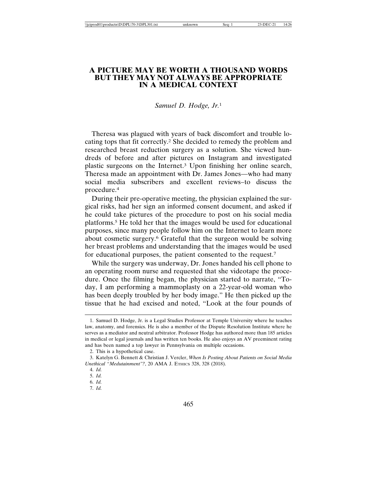# **A PICTURE MAY BE WORTH A THOUSAND WORDS BUT THEY MAY NOT ALWAYS BE APPROPRIATE IN A MEDICAL CONTEXT**

#### *Samuel D. Hodge, Jr.*<sup>1</sup>

Theresa was plagued with years of back discomfort and trouble locating tops that fit correctly.2 She decided to remedy the problem and researched breast reduction surgery as a solution. She viewed hundreds of before and after pictures on Instagram and investigated plastic surgeons on the Internet.3 Upon finishing her online search, Theresa made an appointment with Dr. James Jones—who had many social media subscribers and excellent reviews–to discuss the procedure.4

During their pre-operative meeting, the physician explained the surgical risks, had her sign an informed consent document, and asked if he could take pictures of the procedure to post on his social media platforms.5 He told her that the images would be used for educational purposes, since many people follow him on the Internet to learn more about cosmetic surgery.6 Grateful that the surgeon would be solving her breast problems and understanding that the images would be used for educational purposes, the patient consented to the request.7

While the surgery was underway, Dr. Jones handed his cell phone to an operating room nurse and requested that she videotape the procedure. Once the filming began, the physician started to narrate, "Today, I am performing a mammoplasty on a 22-year-old woman who has been deeply troubled by her body image." He then picked up the tissue that he had excised and noted, "Look at the four pounds of

7. *Id.*

<sup>1.</sup> Samuel D. Hodge, Jr. is a Legal Studies Professor at Temple University where he teaches law, anatomy, and forensics. He is also a member of the Dispute Resolution Institute where he serves as a mediator and neutral arbitrator. Professor Hodge has authored more than 185 articles in medical or legal journals and has written ten books. He also enjoys an AV preeminent rating and has been named a top lawyer in Pennsylvania on multiple occasions.

<sup>2.</sup> This is a hypothetical case.

<sup>3.</sup> Katelyn G. Bennett & Christian J. Vercler, *When Is Posting About Patients on Social Media Unethical "Medutainment"?*, 20 AMA J. ETHICS 328, 328 (2018).

<sup>4.</sup> *Id.*

<sup>5.</sup> *Id.*

<sup>6.</sup> *Id.*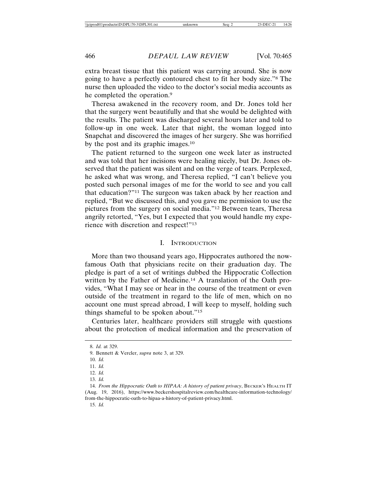extra breast tissue that this patient was carrying around. She is now going to have a perfectly contoured chest to fit her body size."8 The nurse then uploaded the video to the doctor's social media accounts as he completed the operation.<sup>9</sup>

Theresa awakened in the recovery room, and Dr. Jones told her that the surgery went beautifully and that she would be delighted with the results. The patient was discharged several hours later and told to follow-up in one week. Later that night, the woman logged into Snapchat and discovered the images of her surgery. She was horrified by the post and its graphic images.10

The patient returned to the surgeon one week later as instructed and was told that her incisions were healing nicely, but Dr. Jones observed that the patient was silent and on the verge of tears. Perplexed, he asked what was wrong, and Theresa replied, "I can't believe you posted such personal images of me for the world to see and you call that education?"11 The surgeon was taken aback by her reaction and replied, "But we discussed this, and you gave me permission to use the pictures from the surgery on social media."12 Between tears, Theresa angrily retorted, "Yes, but I expected that you would handle my experience with discretion and respect!"13

#### I. INTRODUCTION

More than two thousand years ago, Hippocrates authored the nowfamous Oath that physicians recite on their graduation day. The pledge is part of a set of writings dubbed the Hippocratic Collection written by the Father of Medicine.14 A translation of the Oath provides, "What I may see or hear in the course of the treatment or even outside of the treatment in regard to the life of men, which on no account one must spread abroad, I will keep to myself, holding such things shameful to be spoken about."15

Centuries later, healthcare providers still struggle with questions about the protection of medical information and the preservation of

<sup>8.</sup> *Id.* at 329.

<sup>9.</sup> Bennett & Vercler, *supra* note 3, at 329.

<sup>10.</sup> *Id.*

<sup>11.</sup> *Id.*

<sup>12.</sup> *Id.*

<sup>13.</sup> *Id.*

<sup>14.</sup> *From the Hippocratic Oath to HIPAA: A history of patient privacy*, BECKER'S HEALTH IT (Aug. 19, 2016), https://www.beckershospitalreview.com/healthcare-information-technology/ from-the-hippocratic-oath-to-hipaa-a-history-of-patient-privacy.html.

<sup>15.</sup> *Id.*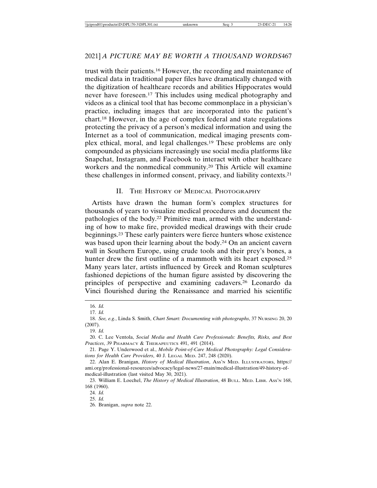trust with their patients.16 However, the recording and maintenance of medical data in traditional paper files have dramatically changed with the digitization of healthcare records and abilities Hippocrates would never have foreseen.17 This includes using medical photography and videos as a clinical tool that has become commonplace in a physician's practice, including images that are incorporated into the patient's chart.18 However, in the age of complex federal and state regulations protecting the privacy of a person's medical information and using the Internet as a tool of communication, medical imaging presents complex ethical, moral, and legal challenges.19 These problems are only compounded as physicians increasingly use social media platforms like Snapchat, Instagram, and Facebook to interact with other healthcare workers and the nonmedical community.20 This Article will examine these challenges in informed consent, privacy, and liability contexts.21

# II. THE HISTORY OF MEDICAL PHOTOGRAPHY

Artists have drawn the human form's complex structures for thousands of years to visualize medical procedures and document the pathologies of the body.22 Primitive man, armed with the understanding of how to make fire, provided medical drawings with their crude beginnings.23 These early painters were fierce hunters whose existence was based upon their learning about the body.<sup>24</sup> On an ancient cavern wall in Southern Europe, using crude tools and their prey's bones, a hunter drew the first outline of a mammoth with its heart exposed.<sup>25</sup> Many years later, artists influenced by Greek and Roman sculptures fashioned depictions of the human figure assisted by discovering the principles of perspective and examining cadavers.26 Leonardo da Vinci flourished during the Renaissance and married his scientific

<sup>16.</sup> *Id.*

<sup>17.</sup> *Id.*

<sup>18.</sup> *See, e.g.*, Linda S. Smith, *Chart Smart: Documenting with photographs*, 37 NURSING 20, 20 (2007).

<sup>19.</sup> *Id.*

<sup>20.</sup> C. Lee Ventola, *Social Media and Health Care Professionals: Benefits, Risks, and Best Practices*, *39* PHARMACY & THERAPEUTICS 491, 491 (2014).

<sup>21.</sup> Page Y. Underwood et al., *Mobile Point-of-Care Medical Photography: Legal Considerations for Health Care Providers*, 40 J. LEGAL MED. 247, 248 (2020).

<sup>22.</sup> Alan E. Branigan, *History of Medical Illustration*, ASS'N MED. ILLUSTRATORS, https:// ami.org/professional-resources/advocacy/legal-news/27-main/medical-illustration/49-history-ofmedical-illustration (last visited May 30, 2021).

<sup>23.</sup> William E. Loechel, *The History of Medical Illustration*, 48 BULL. MED. LIBR. ASS'N 168, 168 (1960).

<sup>24.</sup> *Id.*

<sup>25.</sup> *Id.*

<sup>26.</sup> Branigan, *supra* note 22.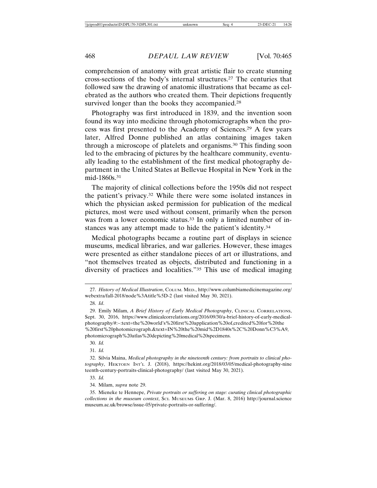comprehension of anatomy with great artistic flair to create stunning cross-sections of the body's internal structures.27 The centuries that followed saw the drawing of anatomic illustrations that became as celebrated as the authors who created them. Their depictions frequently survived longer than the books they accompanied.<sup>28</sup>

Photography was first introduced in 1839, and the invention soon found its way into medicine through photomicrographs when the process was first presented to the Academy of Sciences.29 A few years later, Alfred Donne published an atlas containing images taken through a microscope of platelets and organisms.30 This finding soon led to the embracing of pictures by the healthcare community, eventually leading to the establishment of the first medical photography department in the United States at Bellevue Hospital in New York in the mid-1860s.<sup>31</sup>

The majority of clinical collections before the 1950s did not respect the patient's privacy.32 While there were some isolated instances in which the physician asked permission for publication of the medical pictures, most were used without consent, primarily when the person was from a lower economic status.<sup>33</sup> In only a limited number of instances was any attempt made to hide the patient's identity.34

Medical photographs became a routine part of displays in science museums, medical libraries, and war galleries. However, these images were presented as either standalone pieces of art or illustrations, and "not themselves treated as objects, distributed and functioning in a diversity of practices and localities."35 This use of medical imaging

30. *Id.*

31. *Id.*

<sup>27.</sup> *History of Medical Illustration*, COLUM. MED., http://www.columbiamedicinemagazine.org/ webextra/fall-2018/node%3Atitle%5D-2 (last visited May 30, 2021).

<sup>28.</sup> *Id*.

<sup>29.</sup> Emily Milam, *A Brief History of Early Medical Photography*, CLINICAL CORRELATIONS, Sept. 30, 2016, https://www.clinicalcorrelations.org/2016/09/30/a-brief-history-of-early-medicalphotography/#:~:text=the%20world's%20first%20application%20of,credited%20for%20the %20first%20photomicrograph.&text=IN%20the%20mid%2D1840s%2C%20Donn%C3%A9, photomicrograph%20atlas%20depicting%20medical%20specimens.

<sup>32.</sup> Silvia Maina, *Medical photography in the nineteenth century: from portraits to clinical photography*, HEKTOEN INT'L J. (2018), https://hekint.org/2018/03/05/medical-photography-nine teenth-century-portraits-clinical-photography/ (last visited May 30, 2021).

<sup>33.</sup> *Id.*

<sup>34.</sup> Milam, *supra* note 29.

<sup>35.</sup> Mieneke te Hennepe, *Private portraits or suffering on stage: curating clinical photographic collections in the museum context*, SCI. MUSEUMS GRP. J. (Mar. 8, 2016) http://journal.science museum.ac.uk/browse/issue-05/private-portraits-or-suffering/.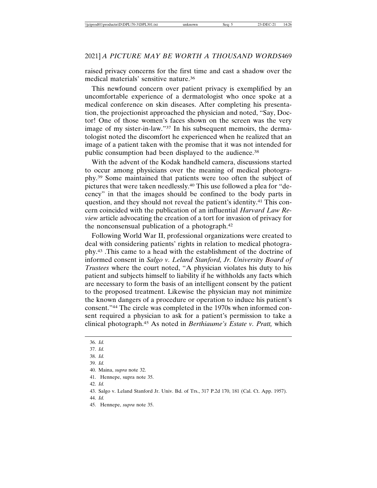raised privacy concerns for the first time and cast a shadow over the medical materials' sensitive nature.36

This newfound concern over patient privacy is exemplified by an uncomfortable experience of a dermatologist who once spoke at a medical conference on skin diseases. After completing his presentation, the projectionist approached the physician and noted, "Say, Doctor! One of those women's faces shown on the screen was the very image of my sister-in-law."37 In his subsequent memoirs, the dermatologist noted the discomfort he experienced when he realized that an image of a patient taken with the promise that it was not intended for public consumption had been displayed to the audience.<sup>38</sup>

With the advent of the Kodak handheld camera, discussions started to occur among physicians over the meaning of medical photography.39 Some maintained that patients were too often the subject of pictures that were taken needlessly.40 This use followed a plea for "decency" in that the images should be confined to the body parts in question, and they should not reveal the patient's identity.41 This concern coincided with the publication of an influential *Harvard Law Review* article advocating the creation of a tort for invasion of privacy for the nonconsensual publication of a photograph.42

Following World War II, professional organizations were created to deal with considering patients' rights in relation to medical photography.43 .This came to a head with the establishment of the doctrine of informed consent in *Salgo v. Leland Stanford, Jr. University Board of Trustees* where the court noted, "A physician violates his duty to his patient and subjects himself to liability if he withholds any facts which are necessary to form the basis of an intelligent consent by the patient to the proposed treatment. Likewise the physician may not minimize the known dangers of a procedure or operation to induce his patient's consent."44 The circle was completed in the 1970s when informed consent required a physician to ask for a patient's permission to take a clinical photograph.45 As noted in *Berthiaume's Estate v. Pratt,* which

41. Hennepe, supra note 35.

<sup>36.</sup> *Id.*

<sup>37.</sup> *Id.*

<sup>38.</sup> *Id.*

<sup>39.</sup> *Id.*

<sup>40.</sup> Maina, *supra* note 32.

<sup>42.</sup> *Id.*

<sup>43.</sup> Salgo v. Leland Stanford Jr. Univ. Bd. of Trs., 317 P.2d 170, 181 (Cal. Ct. App. 1957).

<sup>44.</sup> *Id.*

<sup>45.</sup> Hennepe, *supra* note 35.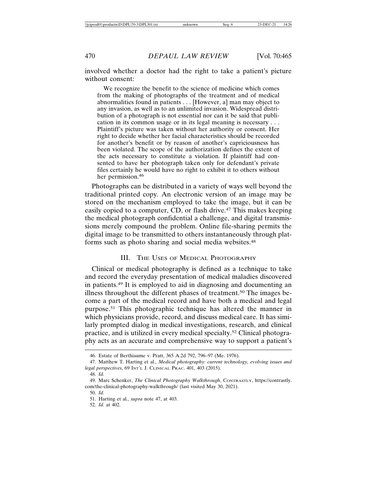involved whether a doctor had the right to take a patient's picture without consent:

We recognize the benefit to the science of medicine which comes from the making of photographs of the treatment and of medical abnormalities found in patients . . . [However, a] man may object to any invasion, as well as to an unlimited invasion. Widespread distribution of a photograph is not essential nor can it be said that publication in its common usage or in its legal meaning is necessary . . . Plaintiff's picture was taken without her authority or consent. Her right to decide whether her facial characteristics should be recorded for another's benefit or by reason of another's capriciousness has been violated. The scope of the authorization defines the extent of the acts necessary to constitute a violation. If plaintiff had consented to have her photograph taken only for defendant's private files certainly he would have no right to exhibit it to others without her permission.<sup>46</sup>

Photographs can be distributed in a variety of ways well beyond the traditional printed copy. An electronic version of an image may be stored on the mechanism employed to take the image, but it can be easily copied to a computer, CD, or flash drive.47 This makes keeping the medical photograph confidential a challenge, and digital transmissions merely compound the problem. Online file-sharing permits the digital image to be transmitted to others instantaneously through platforms such as photo sharing and social media websites.<sup>48</sup>

#### III. THE USES OF MEDICAL PHOTOGRAPHY

Clinical or medical photography is defined as a technique to take and record the everyday presentation of medical maladies discovered in patients.49 It is employed to aid in diagnosing and documenting an illness throughout the different phases of treatment.<sup>50</sup> The images become a part of the medical record and have both a medical and legal purpose.51 This photographic technique has altered the manner in which physicians provide, record, and discuss medical care. It has similarly prompted dialog in medical investigations, research, and clinical practice, and is utilized in every medical specialty.52 Clinical photography acts as an accurate and comprehensive way to support a patient's

48. *Id.*

50. *Id.*

52. *Id.* at 402.

<sup>46.</sup> Estate of Berthiaume v. Pratt, 365 A.2d 792, 796–97 (Me. 1976).

<sup>47.</sup> Matthew T. Harting et al., *Medical photography: current technology, evolving issues and legal perspectives*, 69 INT'L J. CLINICAL PRAC. 401, 403 (2015).

<sup>49.</sup> Marc Schenker, *The Clinical Photography Walkthrough*, CONTRASTLY, https://contrastly. com/the-clinical-photography-walkthrough/ (last visited May 30, 2021).

<sup>51.</sup> Harting et al., *supra* note 47, at 403.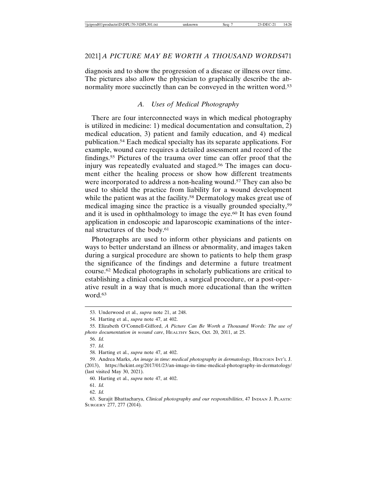diagnosis and to show the progression of a disease or illness over time. The pictures also allow the physician to graphically describe the abnormality more succinctly than can be conveyed in the written word.<sup>53</sup>

#### *A. Uses of Medical Photography*

There are four interconnected ways in which medical photography is utilized in medicine: 1) medical documentation and consultation, 2) medical education, 3) patient and family education, and 4) medical publication.54 Each medical specialty has its separate applications. For example, wound care requires a detailed assessment and record of the findings.55 Pictures of the trauma over time can offer proof that the injury was repeatedly evaluated and staged.56 The images can document either the healing process or show how different treatments were incorporated to address a non-healing wound.<sup>57</sup> They can also be used to shield the practice from liability for a wound development while the patient was at the facility.<sup>58</sup> Dermatology makes great use of medical imaging since the practice is a visually grounded specialty,59 and it is used in ophthalmology to image the eye.<sup>60</sup> It has even found application in endoscopic and laparoscopic examinations of the internal structures of the body.61

Photographs are used to inform other physicians and patients on ways to better understand an illness or abnormality, and images taken during a surgical procedure are shown to patients to help them grasp the significance of the findings and determine a future treatment course.62 Medical photographs in scholarly publications are critical to establishing a clinical conclusion, a surgical procedure, or a post-operative result in a way that is much more educational than the written word.<sup>63</sup>

59. Andrea Marks, *An image in time: medical photography in dermatology*, HEKTOEN INT'L J. (2013), https://hekint.org/2017/01/23/an-image-in-time-medical-photography-in-dermatology/ (last visited May 30, 2021).

<sup>53.</sup> Underwood et al., *supra* note 21, at 248.

<sup>54.</sup> Harting et al., *supra* note 47, at 402.

<sup>55.</sup> Elizabeth O'Connell-Gifford, *A Picture Can Be Worth a Thousand Words: The use of photo documentation in wound care*, HEALTHY SKIN, Oct. 20, 2011, at 25.

<sup>56.</sup> *Id.*

<sup>57.</sup> *Id.*

<sup>58.</sup> Harting et al., *supra* note 47, at 402.

<sup>60.</sup> Harting et al., *supra* note 47, at 402.

<sup>61.</sup> *Id.*

<sup>62.</sup> *Id.*

<sup>63.</sup> Surajit Bhattacharya, *Clinical photography and our responsibilities*, 47 INDIAN J. PLASTIC SURGERY 277, 277 (2014).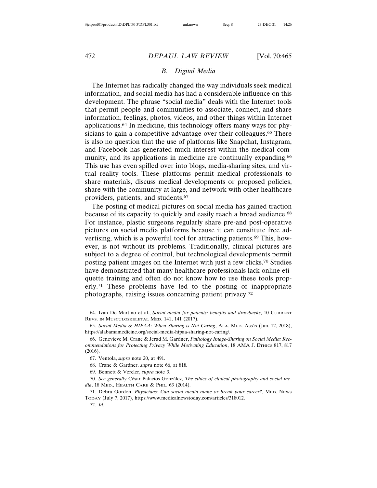# *B. Digital Media*

The Internet has radically changed the way individuals seek medical information, and social media has had a considerable influence on this development. The phrase "social media" deals with the Internet tools that permit people and communities to associate, connect, and share information, feelings, photos, videos, and other things within Internet applications.64 In medicine, this technology offers many ways for physicians to gain a competitive advantage over their colleagues.<sup>65</sup> There is also no question that the use of platforms like Snapchat, Instagram, and Facebook has generated much interest within the medical community, and its applications in medicine are continually expanding.<sup>66</sup> This use has even spilled over into blogs, media-sharing sites, and virtual reality tools. These platforms permit medical professionals to share materials, discuss medical developments or proposed policies, share with the community at large, and network with other healthcare providers, patients, and students.67

The posting of medical pictures on social media has gained traction because of its capacity to quickly and easily reach a broad audience.<sup>68</sup> For instance, plastic surgeons regularly share pre-and post-operative pictures on social media platforms because it can constitute free advertising, which is a powerful tool for attracting patients.69 This, however, is not without its problems. Traditionally, clinical pictures are subject to a degree of control, but technological developments permit posting patient images on the Internet with just a few clicks.70 Studies have demonstrated that many healthcare professionals lack online etiquette training and often do not know how to use these tools properly.71 These problems have led to the posting of inappropriate photographs, raising issues concerning patient privacy.72

69. Bennett & Vercler, *supra* note 3.

70. See generally César Palacios-González, *The ethics of clinical photography and social media*, 18 MED., HEALTH CARE & PHIL. 63 (2014).

71. Debra Gordon, *Physicians: Can social media make or break your career?*, MED. NEWS TODAY (July 7, 2017), https://www.medicalnewstoday.com/articles/318012.

72. *Id.*

<sup>64.</sup> Ivan De Martino et al., *Social media for patients: benefits and drawbacks*, 10 CURRENT REVS. IN MUSCULOSKELETAL MED. 141, 141 (2017).

<sup>65.</sup> *Social Media & HIPAA: When Sharing is Not Caring*, ALA. MED. ASS'N (Jan. 12, 2018), https://alabamamedicine.org/social-media-hipaa-sharing-not-caring/.

<sup>66.</sup> Genevieve M. Crane & Jerad M. Gardner, *Pathology Image-Sharing on Social Media: Recommendations for Protecting Privacy While Motivating Education*, 18 AMA J. ETHICS 817, 817 (2016).

<sup>67.</sup> Ventola, *supra* note 20, at 491.

<sup>68.</sup> Crane & Gardner, *supra* note 66, at 818*.*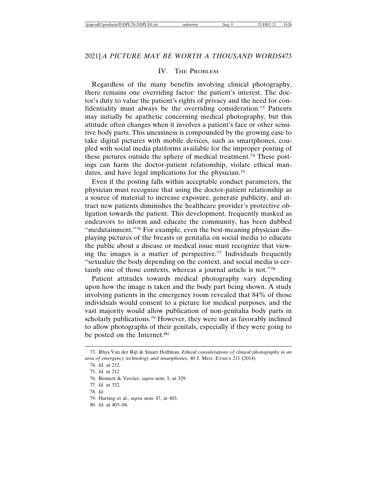#### IV. THE PROBLEM

Regardless of the many benefits involving clinical photography, there remains one overriding factor: the patient's interest. The doctor's duty to value the patient's rights of privacy and the need for confidentiality must always be the overriding consideration.73 Patients may initially be apathetic concerning medical photography, but this attitude often changes when it involves a patient's face or other sensitive body parts. This uneasiness is compounded by the growing ease to take digital pictures with mobile devices, such as smartphones, coupled with social media platforms available for the improper posting of these pictures outside the sphere of medical treatment.74 These postings can harm the doctor-patient relationship, violate ethical mandates, and have legal implications for the physician.75

Even if the posting falls within acceptable conduct parameters, the physician must recognize that using the doctor-patient relationship as a source of material to increase exposure, generate publicity, and attract new patients diminishes the healthcare provider's protective obligation towards the patient. This development, frequently masked as endeavors to inform and educate the community, has been dubbed "medutainment."76 For example, even the best-meaning physician displaying pictures of the breasts or genitalia on social media to educate the public about a disease or medical issue must recognize that viewing the images is a matter of perspective.77 Individuals frequently "sexualize the body depending on the context, and social media is certainly one of those contexts, whereas a journal article is not."78

Patient attitudes towards medical photography vary depending upon how the image is taken and the body part being shown. A study involving patients in the emergency room revealed that 84% of those individuals would consent to a picture for medical purposes, and the vast majority would allow publication of non-genitalia body parts in scholarly publications.79 However, they were not as favorably inclined to allow photographs of their genitals, especially if they were going to be posted on the Internet.<sup>80</sup>

80. *Id.* at 403–04.

<sup>73.</sup> Rhys Van der Rijt & Stuart Hoffman, *Ethical considerations of clinical photography in an area of emergency technology and smartphones*, 40 J. MED. ETHICS 211 (2014)

<sup>74.</sup> *Id.* at 212.

<sup>75.</sup> *Id.* at 212

<sup>76.</sup> Bennett & Vercler, *supra* note 3, at 329.

<sup>77.</sup> *Id.* at 332.

<sup>78.</sup> *Id.*

<sup>79.</sup> Harting et al., *supra* note 47, at 403.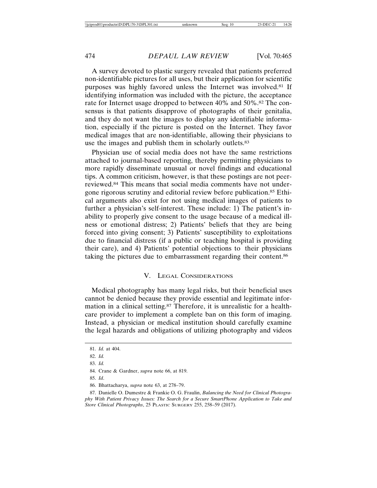A survey devoted to plastic surgery revealed that patients preferred non-identifiable pictures for all uses, but their application for scientific purposes was highly favored unless the Internet was involved.81 If identifying information was included with the picture, the acceptance rate for Internet usage dropped to between 40% and 50%.82 The consensus is that patients disapprove of photographs of their genitalia, and they do not want the images to display any identifiable information, especially if the picture is posted on the Internet. They favor medical images that are non-identifiable, allowing their physicians to use the images and publish them in scholarly outlets.<sup>83</sup>

Physician use of social media does not have the same restrictions attached to journal-based reporting, thereby permitting physicians to more rapidly disseminate unusual or novel findings and educational tips. A common criticism, however, is that these postings are not peerreviewed.84 This means that social media comments have not undergone rigorous scrutiny and editorial review before publication.85 Ethical arguments also exist for not using medical images of patients to further a physician's self-interest. These include: 1) The patient's inability to properly give consent to the usage because of a medical illness or emotional distress; 2) Patients' beliefs that they are being forced into giving consent; 3) Patients' susceptibility to exploitations due to financial distress (if a public or teaching hospital is providing their care), and 4) Patients' potential objections to their physicians taking the pictures due to embarrassment regarding their content.86

#### V. LEGAL CONSIDERATIONS

Medical photography has many legal risks, but their beneficial uses cannot be denied because they provide essential and legitimate information in a clinical setting.87 Therefore, it is unrealistic for a healthcare provider to implement a complete ban on this form of imaging. Instead, a physician or medical institution should carefully examine the legal hazards and obligations of utilizing photography and videos

<sup>81.</sup> *Id.* at 404.

<sup>82.</sup> *Id.*

<sup>83.</sup> *Id.*

<sup>84.</sup> Crane & Gardner, *supra* note 66, at 819.

<sup>85.</sup> *Id*.

<sup>86.</sup> Bhattacharya, *supra* note 63, at 278–79.

<sup>87.</sup> Danielle O. Dumestre & Frankie O. G. Fraulin, *Balancing the Need for Clinical Photography With Patient Privacy Issues: The Search for a Secure SmartPhone Application to Take and Store Clinical Photographs*, 25 PLASTIC SURGERY 255, 258–59 (2017).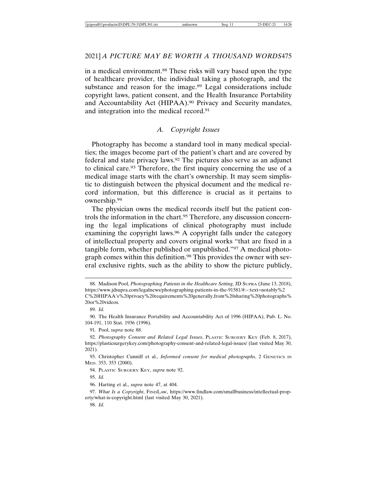in a medical environment.88 These risks will vary based upon the type of healthcare provider, the individual taking a photograph, and the substance and reason for the image.<sup>89</sup> Legal considerations include copyright laws, patient consent, and the Health Insurance Portability and Accountability Act (HIPAA).90 Privacy and Security mandates, and integration into the medical record.91

# *A. Copyright Issues*

Photography has become a standard tool in many medical specialties; the images become part of the patient's chart and are covered by federal and state privacy laws.92 The pictures also serve as an adjunct to clinical care.93 Therefore, the first inquiry concerning the use of a medical image starts with the chart's ownership. It may seem simplistic to distinguish between the physical document and the medical record information, but this difference is crucial as it pertains to ownership.94

The physician owns the medical records itself but the patient controls the information in the chart.95 Therefore, any discussion concerning the legal implications of clinical photography must include examining the copyright laws.96 A copyright falls under the category of intellectual property and covers original works "that are fixed in a tangible form, whether published or unpublished."97 A medical photograph comes within this definition.98 This provides the owner with several exclusive rights, such as the ability to show the picture publicly,

98. *Id.*

<sup>88.</sup> Madison Pool, *Photographing Patients in the Healthcare Setting*, JD SUPRA (June 13, 2018), https://www.jdsupra.com/legalnews/photographing-patients-in-the-91581/#:~:text=notably%2 C%20HIPAA's%20privacy%20requirements%20generally,from%20sharing%20photographs% 20or%20videos.

<sup>89.</sup> *Id.*

<sup>90.</sup> The Health Insurance Portability and Accountability Act of 1996 (HIPAA), Pub. L. No. 104-191, 110 Stat. 1936 (1996).

<sup>91.</sup> Pool, *supra* note 88.

<sup>92.</sup> *Photography Consent and Related Legal Issues*, PLASTIC SURGERY KEY (Feb. 8, 2017), https://plasticsurgerykey.com/photography-consent-and-related-legal-issues/ (last visited May 30, 2021).

<sup>93.</sup> Christopher Cunniff et al., *Informed consent for medical photographs*, 2 GENETICS IN MED. 353, 353 (2000).

<sup>94.</sup> PLASTIC SURGERY KEY, *supra* note 92.

<sup>95.</sup> *Id.*

<sup>96.</sup> Harting et al., *supra* note 47, at 404.

<sup>97.</sup> *What Is a Copyright*, FINDLAW, https://www.findlaw.com/smallbusiness/intellectual-property/what-is-copyright.html (last visited May 30, 2021).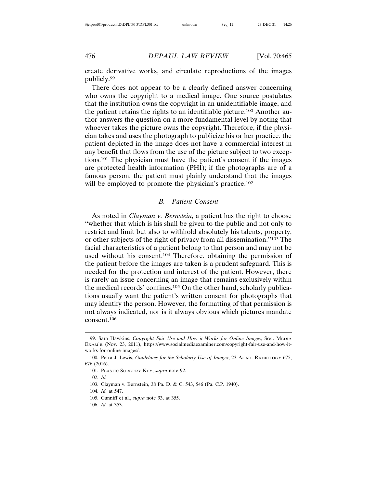create derivative works, and circulate reproductions of the images publicly.99

There does not appear to be a clearly defined answer concerning who owns the copyright to a medical image. One source postulates that the institution owns the copyright in an unidentifiable image, and the patient retains the rights to an identifiable picture.100 Another author answers the question on a more fundamental level by noting that whoever takes the picture owns the copyright. Therefore, if the physician takes and uses the photograph to publicize his or her practice, the patient depicted in the image does not have a commercial interest in any benefit that flows from the use of the picture subject to two exceptions.101 The physician must have the patient's consent if the images are protected health information (PHI); if the photographs are of a famous person, the patient must plainly understand that the images will be employed to promote the physician's practice.<sup>102</sup>

#### *B. Patient Consent*

As noted in *Clayman v. Bernstein,* a patient has the right to choose "whether that which is his shall be given to the public and not only to restrict and limit but also to withhold absolutely his talents, property, or other subjects of the right of privacy from all dissemination."103 The facial characteristics of a patient belong to that person and may not be used without his consent.104 Therefore, obtaining the permission of the patient before the images are taken is a prudent safeguard. This is needed for the protection and interest of the patient. However, there is rarely an issue concerning an image that remains exclusively within the medical records' confines.105 On the other hand, scholarly publications usually want the patient's written consent for photographs that may identify the person. However, the formatting of that permission is not always indicated, nor is it always obvious which pictures mandate consent.106

- 105. Cunniff et al., *supra* note 93, at 355.
- 106. *Id.* at 353.

<sup>99.</sup> Sara Hawkins, *Copyright Fair Use and How it Works for Online Images*, SOC. MEDIA EXAM'R (Nov. 23, 2011), https://www.socialmediaexaminer.com/copyright-fair-use-and-how-itworks-for-online-images/.

<sup>100.</sup> Petra J. Lewis, *Guidelines for the Scholarly Use of Images*, 23 ACAD. RADIOLOGY 675, 676 (2016).

<sup>101.</sup> PLASTIC SURGERY KEY, *supra* note 92.

<sup>102.</sup> *Id.*

<sup>103.</sup> Clayman v. Bernstein, 38 Pa. D. & C. 543, 546 (Pa. C.P. 1940).

<sup>104.</sup> *Id.* at 547.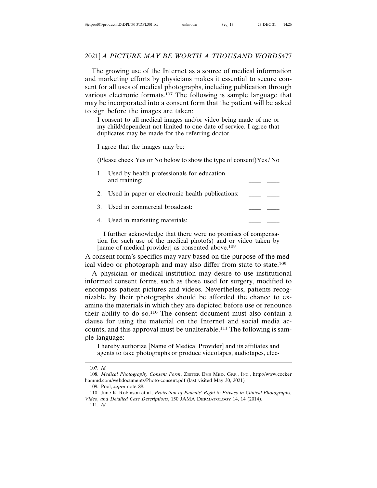The growing use of the Internet as a source of medical information and marketing efforts by physicians makes it essential to secure consent for all uses of medical photographs, including publication through various electronic formats.107 The following is sample language that may be incorporated into a consent form that the patient will be asked to sign before the images are taken:

I consent to all medical images and/or video being made of me or my child/dependent not limited to one date of service. I agree that duplicates may be made for the referring doctor.

I agree that the images may be:

(Please check Yes or No below to show the type of consent)Yes / No

| 1. Used by health professionals for education |  |
|-----------------------------------------------|--|
| and training:                                 |  |

2. Used in paper or electronic health publications:

3. Used in commercial broadcast:

4. Used in marketing materials:

I further acknowledge that there were no promises of compensation for such use of the medical photo(s) and or video taken by [name of medical provider] as consented above.<sup>108</sup>

A consent form's specifics may vary based on the purpose of the medical video or photograph and may also differ from state to state.109

A physician or medical institution may desire to use institutional informed consent forms, such as those used for surgery, modified to encompass patient pictures and videos. Nevertheless, patients recognizable by their photographs should be afforded the chance to examine the materials in which they are depicted before use or renounce their ability to do so.110 The consent document must also contain a clause for using the material on the Internet and social media accounts, and this approval must be unalterable.111 The following is sample language:

I hereby authorize [Name of Medical Provider] and its affiliates and agents to take photographs or produce videotapes, audiotapes, elec-

<sup>107.</sup> *Id.*

<sup>108.</sup> *Medical Photography Consent Form*, ZEITER EYE MED. GRP., INC., http://www.cocker hammd.com/webdocuments/Photo-consent.pdf (last visited May 30, 2021)

<sup>109.</sup> Pool, *supra* note 88.

<sup>110.</sup> June K. Robinson et al., *Protection of Patients' Right to Privacy in Clinical Photographs, Video, and Detailed Case Descriptions*, 150 JAMA DERMATOLOGY 14, 14 (2014). 111. *Id.*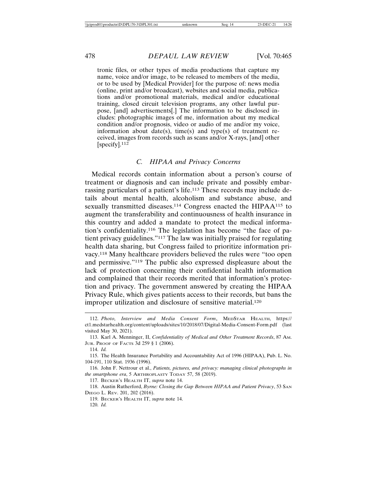tronic files, or other types of media productions that capture my name, voice and/or image, to be released to members of the media, or to be used by [Medical Provider] for the purpose of: news media (online, print and/or broadcast), websites and social media, publications and/or promotional materials, medical and/or educational training, closed circuit television programs, any other lawful purpose, [and] advertisements[.] The information to be disclosed includes: photographic images of me, information about my medical condition and/or prognosis, video or audio of me and/or my voice, information about date(s), time(s) and type(s) of treatment received, images from records such as scans and/or X-rays, [and] other [specify].<sup>112</sup>

#### *C. HIPAA and Privacy Concerns*

Medical records contain information about a person's course of treatment or diagnosis and can include private and possibly embarrassing particulars of a patient's life.113 These records may include details about mental health, alcoholism and substance abuse, and sexually transmitted diseases.<sup>114</sup> Congress enacted the HIPAA<sup>115</sup> to augment the transferability and continuousness of health insurance in this country and added a mandate to protect the medical information's confidentiality.116 The legislation has become "the face of patient privacy guidelines."117 The law was initially praised for regulating health data sharing, but Congress failed to prioritize information privacy.118 Many healthcare providers believed the rules were "too open and permissive."119 The public also expressed displeasure about the lack of protection concerning their confidential health information and complained that their records merited that information's protection and privacy. The government answered by creating the HIPAA Privacy Rule, which gives patients access to their records, but bans the improper utilization and disclosure of sensitive material.<sup>120</sup>

117. BECKER'S HEALTH IT, *supra* note 14.

118. Austin Rutherford, *Byrne: Closing the Gap Between HIPAA and Patient Privacy*, 53 SAN DIEGO L. REV. 201, 202 (2016).

119. BECKER'S HEALTH IT, *supra* note 14. 120. *Id.*

<sup>112.</sup> *Photo, Interview and Media Consent Form*, MEDSTAR HEALTH, https:// ct1.medstarhealth.org/content/uploads/sites/10/2018/07/Digital-Media-Consent-Form.pdf (last visited May 30, 2021).

<sup>113.</sup> Karl A. Menninger, II, *Confidentiality of Medical and Other Treatment Records*, 87 AM. JUR. PROOF OF FACTS 3d 259 § 1 (2006).

<sup>114.</sup> *Id.*

<sup>115.</sup> The Health Insurance Portability and Accountability Act of 1996 (HIPAA), Pub. L. No. 104-191, 110 Stat. 1936 (1996).

<sup>116.</sup> John F. Nettrour et al., *Patients, pictures, and privacy: managing clinical photographs in the smartphone era*, 5 ARTHROPLASTY TODAY 57, 58 (2019).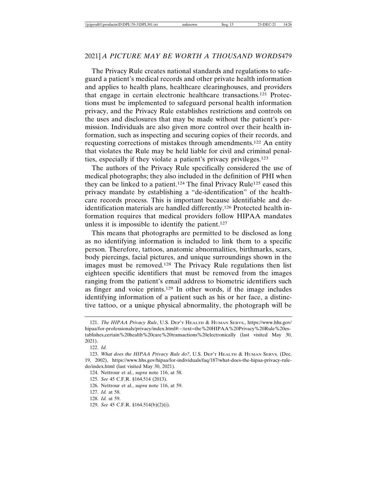The Privacy Rule creates national standards and regulations to safeguard a patient's medical records and other private health information and applies to health plans, healthcare clearinghouses, and providers that engage in certain electronic healthcare transactions.121 Protections must be implemented to safeguard personal health information privacy, and the Privacy Rule establishes restrictions and controls on the uses and disclosures that may be made without the patient's permission. Individuals are also given more control over their health information, such as inspecting and securing copies of their records, and requesting corrections of mistakes through amendments.122 An entity that violates the Rule may be held liable for civil and criminal penalties, especially if they violate a patient's privacy privileges.123

The authors of the Privacy Rule specifically considered the use of medical photographs; they also included in the definition of PHI when they can be linked to a patient.124 The final Privacy Rule125 eased this privacy mandate by establishing a "de-identification" of the healthcare records process. This is important because identifiable and deidentification materials are handled differently.126 Protected health information requires that medical providers follow HIPAA mandates unless it is impossible to identify the patient.<sup>127</sup>

This means that photographs are permitted to be disclosed as long as no identifying information is included to link them to a specific person. Therefore, tattoos, anatomic abnormalities, birthmarks, scars, body piercings, facial pictures, and unique surroundings shown in the images must be removed.128 The Privacy Rule regulations then list eighteen specific identifiers that must be removed from the images ranging from the patient's email address to biometric identifiers such as finger and voice prints.129 In other words, if the image includes identifying information of a patient such as his or her face, a distinctive tattoo, or a unique physical abnormality, the photograph will be

129. *See* 45 C.F.R. §164.514(b)(2)(i).

<sup>121.</sup> *The HIPAA Privacy Rule*, U.S. DEP'T HEALTH & HUMAN SERVS., https://www.hhs.gov/ hipaa/for-professionals/privacy/index.html#:~:text=the%20HIPAA%20Privacy%20Rule%20establishes,certain%20health%20care%20transactions%20electronically (last visited May 30, 2021).

<sup>122.</sup> *Id.*

<sup>123.</sup> *What does the HIPAA Privacy Rule do?*, U.S. DEP'T HEALTH & HUMAN SERVS. (Dec. 19, 2002), https://www.hhs.gov/hipaa/for-individuals/faq/187/what-does-the-hipaa-privacy-ruledo/index.html (last visited May 30, 2021).

<sup>124.</sup> Nettrour et al., *supra* note 116, at 58.

<sup>125.</sup> *See* 45 C.F.R. §164.514 (2013).

<sup>126.</sup> Nettrour et al., *supra* note 116, at 59.

<sup>127.</sup> *Id.* at 58.

<sup>128.</sup> *Id.* at 59.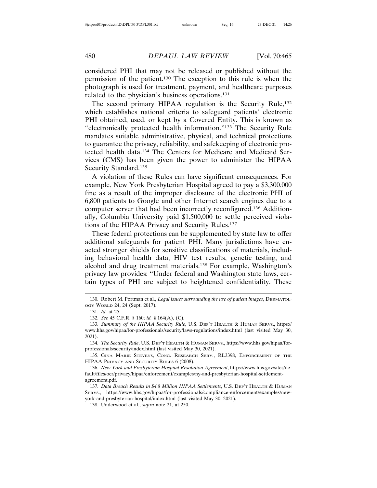considered PHI that may not be released or published without the permission of the patient.130 The exception to this rule is when the photograph is used for treatment, payment, and healthcare purposes related to the physician's business operations.131

The second primary HIPAA regulation is the Security Rule,<sup>132</sup> which establishes national criteria to safeguard patients' electronic PHI obtained, used, or kept by a Covered Entity. This is known as "electronically protected health information."133 The Security Rule mandates suitable administrative, physical, and technical protections to guarantee the privacy, reliability, and safekeeping of electronic protected health data.134 The Centers for Medicare and Medicaid Services (CMS) has been given the power to administer the HIPAA Security Standard.<sup>135</sup>

A violation of these Rules can have significant consequences. For example, New York Presbyterian Hospital agreed to pay a \$3,300,000 fine as a result of the improper disclosure of the electronic PHI of 6,800 patients to Google and other Internet search engines due to a computer server that had been incorrectly reconfigured.136 Additionally, Columbia University paid \$1,500,000 to settle perceived violations of the HIPAA Privacy and Security Rules.<sup>137</sup>

These federal protections can be supplemented by state law to offer additional safeguards for patient PHI. Many jurisdictions have enacted stronger shields for sensitive classifications of materials, including behavioral health data, HIV test results, genetic testing, and alcohol and drug treatment materials.138 For example, Washington's privacy law provides: "Under federal and Washington state laws, certain types of PHI are subject to heightened confidentiality. These

135. GINA MARIE STEVENS, CONG. RESEARCH SERV., RL3398, ENFORCEMENT OF THE HIPAA PRIVACY AND SECURITY RULES 6 (2008).

136. *New York and Presbyterian Hospital Resolution Agreement*, https://www.hhs.gov/sites/default/files/ocr/privacy/hipaa/enforcement/examples/ny-and-presbyterian-hospital-settlementagreement.pdf.

137. *Data Breach Results in \$4.8 Million HIPAA Settlements*, U.S. DEP'T HEALTH & HUMAN SERVS., https://www.hhs.gov/hipaa/for-professionals/compliance-enforcement/examples/newyork-and-presbyterian-hospital/index.html (last visited May 30, 2021).

138. Underwood et al., *supra* note 21, at 250.

<sup>130.</sup> Robert M. Portman et al., *Legal issues surrounding the use of patient images*, DERMATOL-OGY WORLD 24, 24 (Sept. 2017).

<sup>131.</sup> *Id.* at 25.

<sup>132.</sup> *See* 45 C.F.R. § 160; *id.* § 164(A), (C).

<sup>133.</sup> *Summary of the HIPAA Security Rule*, U.S. DEP'T HEALTH & HUMAN SERVS., https:// www.hhs.gov/hipaa/for-professionals/security/laws-regulations/index.html (last visited May 30, 2021).

<sup>134.</sup> *The Security Rule*, U.S. DEP'T HEALTH & HUMAN SERVS., https://www.hhs.gov/hipaa/forprofessionals/security/index.html (last visited May 30, 2021).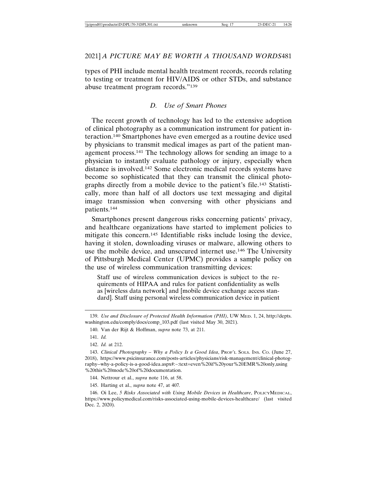types of PHI include mental health treatment records, records relating to testing or treatment for HIV/AIDS or other STDs, and substance abuse treatment program records."139

#### *D. Use of Smart Phones*

The recent growth of technology has led to the extensive adoption of clinical photography as a communication instrument for patient interaction.140 Smartphones have even emerged as a routine device used by physicians to transmit medical images as part of the patient management process.141 The technology allows for sending an image to a physician to instantly evaluate pathology or injury, especially when distance is involved.142 Some electronic medical records systems have become so sophisticated that they can transmit the clinical photographs directly from a mobile device to the patient's file.143 Statistically, more than half of all doctors use text messaging and digital image transmission when conversing with other physicians and patients.144

Smartphones present dangerous risks concerning patients' privacy, and healthcare organizations have started to implement policies to mitigate this concern.145 Identifiable risks include losing the device, having it stolen, downloading viruses or malware, allowing others to use the mobile device, and unsecured internet use.146 The University of Pittsburgh Medical Center (UPMC) provides a sample policy on the use of wireless communication transmitting devices:

Staff use of wireless communication devices is subject to the requirements of HIPAA and rules for patient confidentiality as wells as [wireless data network] and [mobile device exchange access standard]. Staff using personal wireless communication device in patient

145. Harting et al., *supra* note 47, at 407*.*

146. Oi Lee, *5 Risks Associated with Using Mobile Devices in Healthcare*, POLICYMEDICAL, https://www.policymedical.com/risks-associated-using-mobile-devices-healthcare/ (last visited Dec. 2, 2020).

<sup>139.</sup> *Use and Disclosure of Protected Health Information (PHI)*, UW MED. 1, 24, http://depts. washington.edu/comply/docs/comp\_103.pdf (last visited May 30, 2021).

<sup>140.</sup> Van der Rijt & Hoffman, *supra* note 73, at 211.

<sup>141.</sup> *Id.*

<sup>142.</sup> *Id.* at 212.

<sup>143.</sup> *Clinical Photography – Why a Policy Is a Good Idea*, PROF'L SOLS. INS. CO. (June 27, 2018), https://www.psicinsurance.com/posts-articles/physicians/risk-management/clinical-photography--why-a-policy-is-a-good-idea.aspx#:~:text=even%20if%20your%20EMR%20only,using %20this%20mode%20of%20documentation.

<sup>144.</sup> Nettrour et al., *supra* note 116, at 58.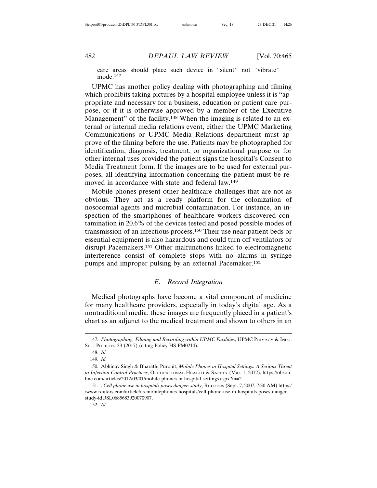care areas should place such device in "silent" not "vibrate" mode.<sup>147</sup>

UPMC has another policy dealing with photographing and filming which prohibits taking pictures by a hospital employee unless it is "appropriate and necessary for a business, education or patient care purpose, or if it is otherwise approved by a member of the Executive Management" of the facility.<sup>148</sup> When the imaging is related to an external or internal media relations event, either the UPMC Marketing Communications or UPMC Media Relations department must approve of the filming before the use. Patients may be photographed for identification, diagnosis, treatment, or organizational purpose or for other internal uses provided the patient signs the hospital's Consent to Media Treatment form. If the images are to be used for external purposes, all identifying information concerning the patient must be removed in accordance with state and federal law.149

Mobile phones present other healthcare challenges that are not as obvious. They act as a ready platform for the colonization of nosocomial agents and microbial contamination. For instance, an inspection of the smartphones of healthcare workers discovered contamination in 20.6% of the devices tested and posed possible modes of transmission of an infectious process.150 Their use near patient beds or essential equipment is also hazardous and could turn off ventilators or disrupt Pacemakers.151 Other malfunctions linked to electromagnetic interference consist of complete stops with no alarms in syringe pumps and improper pulsing by an external Pacemaker.152

#### *E. Record Integration*

Medical photographs have become a vital component of medicine for many healthcare providers, especially in today's digital age. As a nontraditional media, these images are frequently placed in a patient's chart as an adjunct to the medical treatment and shown to others in an

<sup>147.</sup> *Photographing, Filming and Recording within UPMC Facilities*, UPMC PRIVACY & INFO. SEC. POLICIES 33 (2017) (citing Policy HS-FM0214).

<sup>148.</sup> *Id.*

<sup>149.</sup> *Id.*

<sup>150.</sup> Abhinav Singh & Bharathi Purohit, *Mobile Phones in Hospital Settings: A Serious Threat to Infection Control Practices*, OCCUPATIONAL HEALTH & SAFETY (Mar. 1, 2012), https://ohsonline.com/articles/2012/03/01/mobile-phones-in-hospital-settings.aspx?m=2.

<sup>151. .</sup> *Cell phone use in hospitals poses danger: study*, REUTERS (Sept. 7, 2007, 7:30 AM) https:/ /www.reuters.com/article/us-mobilephones-hospitals/cell-phone-use-in-hospitals-poses-dangerstudy-idUSL0685683920070907.

<sup>152.</sup> *Id.*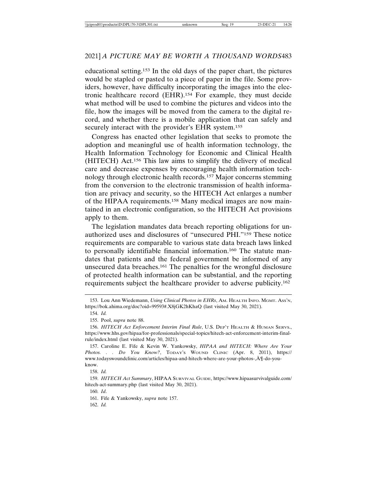educational setting.153 In the old days of the paper chart, the pictures would be stapled or pasted to a piece of paper in the file. Some providers, however, have difficulty incorporating the images into the electronic healthcare record (EHR).154 For example, they must decide what method will be used to combine the pictures and videos into the file, how the images will be moved from the camera to the digital record, and whether there is a mobile application that can safely and securely interact with the provider's EHR system.<sup>155</sup>

Congress has enacted other legislation that seeks to promote the adoption and meaningful use of health information technology, the Health Information Technology for Economic and Clinical Health (HITECH) Act.156 This law aims to simplify the delivery of medical care and decrease expenses by encouraging health information technology through electronic health records.157 Major concerns stemming from the conversion to the electronic transmission of health information are privacy and security, so the HITECH Act enlarges a number of the HIPAA requirements.158 Many medical images are now maintained in an electronic configuration, so the HITECH Act provisions apply to them.

The legislation mandates data breach reporting obligations for unauthorized uses and disclosures of "unsecured PHI."159 These notice requirements are comparable to various state data breach laws linked to personally identifiable financial information.160 The statute mandates that patients and the federal government be informed of any unsecured data breaches.161 The penalties for the wrongful disclosure of protected health information can be substantial, and the reporting requirements subject the healthcare provider to adverse publicity.162

158. *Id.*

160. *Id*.

161. Fife & Yankowsky, *supra* note 157.

162. *Id.*

<sup>153.</sup> Lou Ann Wiedemann, *Using Clinical Photos in EHRs*, AM. HEALTH INFO. MGMT. ASS'N, https://bok.ahima.org/doc?oid=99593#.X8jGK2hKhaQ (last visited May 30, 2021).

<sup>154.</sup> *Id.*

<sup>155.</sup> Pool, *supra* note 88.

<sup>156.</sup> *HITECH Act Enforcement Interim Final Rule*, U.S. DEP'T HEALTH & HUMAN SERVS., https://www.hhs.gov/hipaa/for-professionals/special-topics/hitech-act-enforcement-interim-finalrule/index.html (last visited May 30, 2021).

<sup>157.</sup> Caroline E. Fife & Kevin W. Yankowsky, *HIPAA and HITECH: Where Are Your Photos. . . Do You Know?*, TODAY'S WOUND CLINIC (Apr. 8, 2011), https:// www.todayswoundclinic.com/articles/hipaa-and-hitech-where-are-your-photos-,A¶-do-you- ¨ know.

<sup>159.</sup> *HITECH Act Summary*, HIPAA SURVIVAL GUIDE, https://www.hipaasurvivalguide.com/ hitech-act-summary.php (last visited May 30, 2021).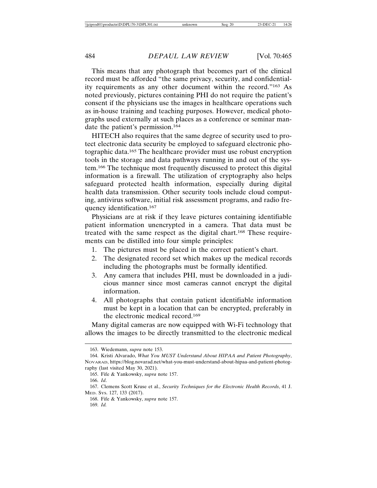This means that any photograph that becomes part of the clinical record must be afforded "the same privacy, security, and confidentiality requirements as any other document within the record."163 As noted previously, pictures containing PHI do not require the patient's consent if the physicians use the images in healthcare operations such as in-house training and teaching purposes. However, medical photographs used externally at such places as a conference or seminar mandate the patient's permission.164

HITECH also requires that the same degree of security used to protect electronic data security be employed to safeguard electronic photographic data.165 The healthcare provider must use robust encryption tools in the storage and data pathways running in and out of the system.166 The technique most frequently discussed to protect this digital information is a firewall. The utilization of cryptography also helps safeguard protected health information, especially during digital health data transmission. Other security tools include cloud computing, antivirus software, initial risk assessment programs, and radio frequency identification.167

Physicians are at risk if they leave pictures containing identifiable patient information unencrypted in a camera. That data must be treated with the same respect as the digital chart.168 These requirements can be distilled into four simple principles:

- 1. The pictures must be placed in the correct patient's chart.
- 2. The designated record set which makes up the medical records including the photographs must be formally identified.
- 3. Any camera that includes PHI, must be downloaded in a judicious manner since most cameras cannot encrypt the digital information.
- 4. All photographs that contain patient identifiable information must be kept in a location that can be encrypted, preferably in the electronic medical record.169

Many digital cameras are now equipped with Wi-Fi technology that allows the images to be directly transmitted to the electronic medical

<sup>163.</sup> Wiedemann, *supra* note 153.

<sup>164.</sup> Kristi Alvarado, *What You MUST Understand About HIPAA and Patient Photography*, NOVARAD, https://blog.novarad.net/what-you-must-understand-about-hipaa-and-patient-photography (last visited May 30, 2021).

<sup>165.</sup> Fife & Yankowsky, *supra* note 157.

<sup>166.</sup> *Id*.

<sup>167.</sup> Clemens Scott Kruse et al., *Security Techniques for the Electronic Health Records*, 41 J. MED. SYS. 127, 133 (2017).

<sup>168.</sup> Fife & Yankowsky, *supra* note 157.

<sup>169.</sup> *Id.*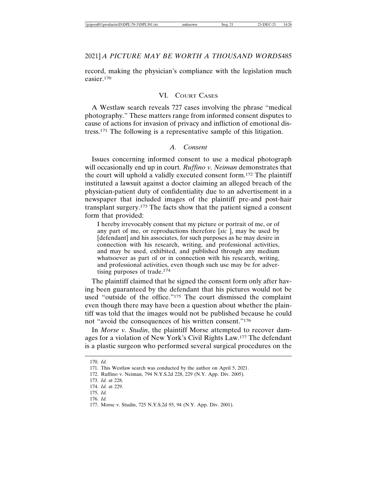record, making the physician's compliance with the legislation much easier.170

#### VI. COURT CASES

A Westlaw search reveals 727 cases involving the phrase "medical photography." These matters range from informed consent disputes to cause of actions for invasion of privacy and infliction of emotional distress.171 The following is a representative sample of this litigation.

#### *A. Consent*

Issues concerning informed consent to use a medical photograph will occasionally end up in court*. Ruffino v. Neiman* demonstrates that the court will uphold a validly executed consent form.172 The plaintiff instituted a lawsuit against a doctor claiming an alleged breach of the physician-patient duty of confidentiality due to an advertisement in a newspaper that included images of the plaintiff pre-and post-hair transplant surgery.173 The facts show that the patient signed a consent form that provided:

I hereby irrevocably consent that my picture or portrait of me, or of any part of me, or reproductions therefore [*sic* ], may be used by [defendant] and his associates, for such purposes as he may desire in connection with his research, writing, and professional activities, and may be used, exhibited, and published through any medium whatsoever as part of or in connection with his research, writing, and professional activities, even though such use may be for advertising purposes of trade.174

The plaintiff claimed that he signed the consent form only after having been guaranteed by the defendant that his pictures would not be used "outside of the office."175 The court dismissed the complaint even though there may have been a question about whether the plaintiff was told that the images would not be published because he could not "avoid the consequences of his written consent."176

In *Morse v. Studin*, the plaintiff Morse attempted to recover damages for a violation of New York's Civil Rights Law.177 The defendant is a plastic surgeon who performed several surgical procedures on the

<sup>170.</sup> *Id.*

<sup>171.</sup> This Westlaw search was conducted by the author on April 5, 2021.

<sup>172.</sup> Ruffino v. Neiman, 794 N.Y.S.2d 228, 229 (N.Y. App. Div. 2005).

<sup>173.</sup> *Id.* at 228.

<sup>174.</sup> *Id.* at 229.

<sup>175.</sup> *Id.*

<sup>176.</sup> *Id.*

<sup>177.</sup> Morse v. Studin, 725 N.Y.S.2d 93, 94 (N.Y. App. Div. 2001).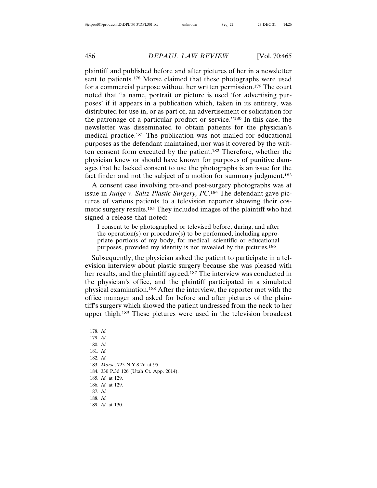plaintiff and published before and after pictures of her in a newsletter sent to patients.178 Morse claimed that these photographs were used for a commercial purpose without her written permission.179 The court noted that "a name, portrait or picture is used 'for advertising purposes' if it appears in a publication which, taken in its entirety, was distributed for use in, or as part of, an advertisement or solicitation for the patronage of a particular product or service."180 In this case, the newsletter was disseminated to obtain patients for the physician's medical practice.181 The publication was not mailed for educational purposes as the defendant maintained, nor was it covered by the written consent form executed by the patient.182 Therefore, whether the physician knew or should have known for purposes of punitive damages that he lacked consent to use the photographs is an issue for the fact finder and not the subject of a motion for summary judgment.<sup>183</sup>

A consent case involving pre-and post-surgery photographs was at issue in *Judge v. Saltz Plastic Surgery, PC*. 184 The defendant gave pictures of various patients to a television reporter showing their cosmetic surgery results.185 They included images of the plaintiff who had signed a release that noted:

I consent to be photographed or televised before, during, and after the operation(s) or procedure(s) to be performed, including appropriate portions of my body, for medical, scientific or educational purposes, provided my identity is not revealed by the pictures.186

Subsequently, the physician asked the patient to participate in a television interview about plastic surgery because she was pleased with her results, and the plaintiff agreed.<sup>187</sup> The interview was conducted in the physician's office, and the plaintiff participated in a simulated physical examination.188 After the interview, the reporter met with the office manager and asked for before and after pictures of the plaintiff's surgery which showed the patient undressed from the neck to her upper thigh.189 These pictures were used in the television broadcast

178. *Id.* 179. *Id.* 180. *Id.* 181. *Id.* 182. *Id.* 183. *Morse*, 725 N.Y.S.2d at 95. 184. 330 P.3d 126 (Utah Ct. App. 2014). 185. *Id.* at 129. 186. *Id.* at 129. 187. *Id.* 188. *Id.* 189. *Id.* at 130.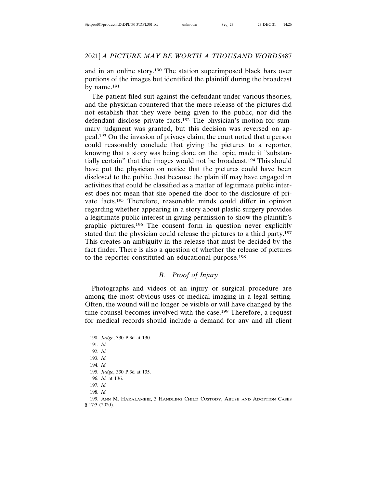and in an online story.190 The station superimposed black bars over portions of the images but identified the plaintiff during the broadcast by name.191

The patient filed suit against the defendant under various theories, and the physician countered that the mere release of the pictures did not establish that they were being given to the public, nor did the defendant disclose private facts.192 The physician's motion for summary judgment was granted, but this decision was reversed on appeal.193 On the invasion of privacy claim, the court noted that a person could reasonably conclude that giving the pictures to a reporter, knowing that a story was being done on the topic, made it "substantially certain" that the images would not be broadcast.194 This should have put the physician on notice that the pictures could have been disclosed to the public. Just because the plaintiff may have engaged in activities that could be classified as a matter of legitimate public interest does not mean that she opened the door to the disclosure of private facts.195 Therefore, reasonable minds could differ in opinion regarding whether appearing in a story about plastic surgery provides a legitimate public interest in giving permission to show the plaintiff's graphic pictures.196 The consent form in question never explicitly stated that the physician could release the pictures to a third party.197 This creates an ambiguity in the release that must be decided by the fact finder. There is also a question of whether the release of pictures to the reporter constituted an educational purpose.198

# *B. Proof of Injury*

Photographs and videos of an injury or surgical procedure are among the most obvious uses of medical imaging in a legal setting. Often, the wound will no longer be visible or will have changed by the time counsel becomes involved with the case.<sup>199</sup> Therefore, a request for medical records should include a demand for any and all client

195. *Judge*, 330 P.3d at 135.

<sup>190.</sup> *Judge*, 330 P.3d at 130. 191. *Id.* 192. *Id.*

<sup>193.</sup> *Id.* 194. *Id.*

<sup>196.</sup> *Id.* at 136.

<sup>197.</sup> *Id.* 198. *Id.*

<sup>199.</sup> ANN M. HARALAMBIE, 3 HANDLING CHILD CUSTODY, ABUSE AND ADOPTION CASES § 17:3 (2020).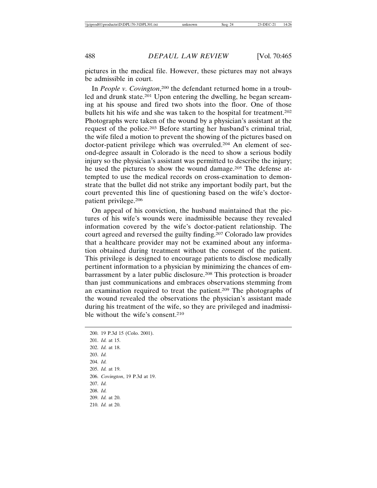pictures in the medical file. However, these pictures may not always be admissible in court.

In People v. Covington,<sup>200</sup> the defendant returned home in a troubled and drunk state.<sup>201</sup> Upon entering the dwelling, he began screaming at his spouse and fired two shots into the floor. One of those bullets hit his wife and she was taken to the hospital for treatment.202 Photographs were taken of the wound by a physician's assistant at the request of the police.203 Before starting her husband's criminal trial, the wife filed a motion to prevent the showing of the pictures based on doctor-patient privilege which was overruled.<sup>204</sup> An element of second-degree assault in Colorado is the need to show a serious bodily injury so the physician's assistant was permitted to describe the injury; he used the pictures to show the wound damage.<sup>205</sup> The defense attempted to use the medical records on cross-examination to demonstrate that the bullet did not strike any important bodily part, but the court prevented this line of questioning based on the wife's doctorpatient privilege.206

On appeal of his conviction, the husband maintained that the pictures of his wife's wounds were inadmissible because they revealed information covered by the wife's doctor-patient relationship. The court agreed and reversed the guilty finding.207 Colorado law provides that a healthcare provider may not be examined about any information obtained during treatment without the consent of the patient. This privilege is designed to encourage patients to disclose medically pertinent information to a physician by minimizing the chances of embarrassment by a later public disclosure.208 This protection is broader than just communications and embraces observations stemming from an examination required to treat the patient.209 The photographs of the wound revealed the observations the physician's assistant made during his treatment of the wife, so they are privileged and inadmissible without the wife's consent.210

```
200. 19 P.3d 15 (Colo. 2001).
201. Id. at 15.
202. Id. at 18.
203. Id.
204. Id.
205. Id. at 19.
206. Covington, 19 P.3d at 19.
207. Id.
208. Id.
209. Id. at 20.
210. Id. at 20.
```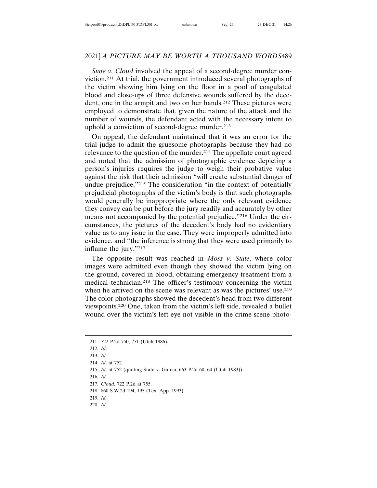*State v. Cloud* involved the appeal of a second-degree murder conviction.211 At trial, the government introduced several photographs of the victim showing him lying on the floor in a pool of coagulated blood and close-ups of three defensive wounds suffered by the decedent, one in the armpit and two on her hands.<sup>212</sup> These pictures were employed to demonstrate that, given the nature of the attack and the number of wounds, the defendant acted with the necessary intent to uphold a conviction of second-degree murder.213

On appeal, the defendant maintained that it was an error for the trial judge to admit the gruesome photographs because they had no relevance to the question of the murder.214 The appellate court agreed and noted that the admission of photographic evidence depicting a person's injuries requires the judge to weigh their probative value against the risk that their admission "will create substantial danger of undue prejudice."215 The consideration "in the context of potentially prejudicial photographs of the victim's body is that such photographs would generally be inappropriate where the only relevant evidence they convey can be put before the jury readily and accurately by other means not accompanied by the potential prejudice."216 Under the circumstances, the pictures of the decedent's body had no evidentiary value as to any issue in the case. They were improperly admitted into evidence, and "the inference is strong that they were used primarily to inflame the jury."217

The opposite result was reached in *Moss v. State*, where color images were admitted even though they showed the victim lying on the ground, covered in blood, obtaining emergency treatment from a medical technician.218 The officer's testimony concerning the victim when he arrived on the scene was relevant as was the pictures' use.<sup>219</sup> The color photographs showed the decedent's head from two different viewpoints.220 One, taken from the victim's left side, revealed a bullet wound over the victim's left eye not visible in the crime scene photo-

- 212. *Id*.
- 213. *Id.*

```
214. Id. at 752.
```
215. *Id*. at 752 (quoting State v. Garcia, 663 P.2d 60, 64 (Utah 1983)).

<sup>211. 722</sup> P.2d 750, 751 (Utah 1986).

<sup>216.</sup> *Id.*

<sup>217.</sup> *Cloud*, 722 P.2d at 755.

<sup>218. 860</sup> S.W.2d 194, 195 (Tex. App. 1993).

<sup>219.</sup> *Id.*

<sup>220.</sup> *Id.*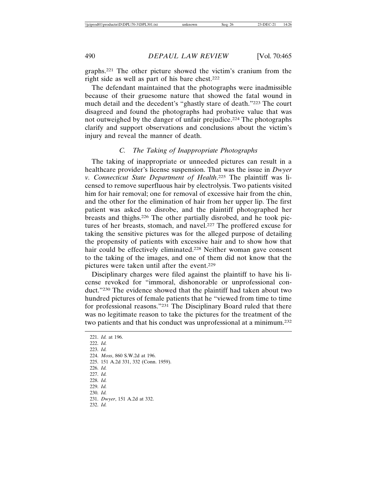graphs.221 The other picture showed the victim's cranium from the right side as well as part of his bare chest.222

The defendant maintained that the photographs were inadmissible because of their gruesome nature that showed the fatal wound in much detail and the decedent's "ghastly stare of death."223 The court disagreed and found the photographs had probative value that was not outweighed by the danger of unfair prejudice.224 The photographs clarify and support observations and conclusions about the victim's injury and reveal the manner of death.

# *C. The Taking of Inappropriate Photographs*

The taking of inappropriate or unneeded pictures can result in a healthcare provider's license suspension. That was the issue in *Dwyer v. Connecticut State Department of Health*. 225 The plaintiff was licensed to remove superfluous hair by electrolysis. Two patients visited him for hair removal; one for removal of excessive hair from the chin, and the other for the elimination of hair from her upper lip. The first patient was asked to disrobe, and the plaintiff photographed her breasts and thighs.226 The other partially disrobed, and he took pictures of her breasts, stomach, and navel.227 The proffered excuse for taking the sensitive pictures was for the alleged purpose of detailing the propensity of patients with excessive hair and to show how that hair could be effectively eliminated.<sup>228</sup> Neither woman gave consent to the taking of the images, and one of them did not know that the pictures were taken until after the event.229

Disciplinary charges were filed against the plaintiff to have his license revoked for "immoral, dishonorable or unprofessional conduct."230 The evidence showed that the plaintiff had taken about two hundred pictures of female patients that he "viewed from time to time for professional reasons."231 The Disciplinary Board ruled that there was no legitimate reason to take the pictures for the treatment of the two patients and that his conduct was unprofessional at a minimum.232

221. *Id.* at 196. 222. *Id.* 223. *Id.* 224. *Moss*, 860 S.W.2d at 196. 225. 151 A.2d 331, 332 (Conn. 1959). 226. *Id.* 227. *Id.* 228. *Id.* 229. *Id.* 230. *Id.* 231. *Dwyer*, 151 A.2d at 332. 232. *Id.*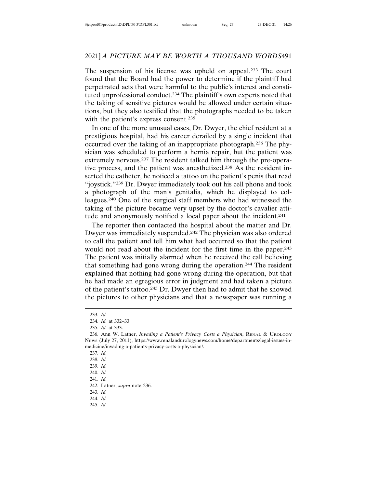The suspension of his license was upheld on appeal.<sup>233</sup> The court found that the Board had the power to determine if the plaintiff had perpetrated acts that were harmful to the public's interest and constituted unprofessional conduct.234 The plaintiff's own experts noted that the taking of sensitive pictures would be allowed under certain situations, but they also testified that the photographs needed to be taken with the patient's express consent.<sup>235</sup>

In one of the more unusual cases, Dr. Dwyer, the chief resident at a prestigious hospital, had his career derailed by a single incident that occurred over the taking of an inappropriate photograph.236 The physician was scheduled to perform a hernia repair, but the patient was extremely nervous.237 The resident talked him through the pre-operative process, and the patient was anesthetized.238 As the resident inserted the catheter, he noticed a tattoo on the patient's penis that read "joystick."239 Dr. Dwyer immediately took out his cell phone and took a photograph of the man's genitalia, which he displayed to colleagues.240 One of the surgical staff members who had witnessed the taking of the picture became very upset by the doctor's cavalier attitude and anonymously notified a local paper about the incident.241

The reporter then contacted the hospital about the matter and Dr. Dwyer was immediately suspended.242 The physician was also ordered to call the patient and tell him what had occurred so that the patient would not read about the incident for the first time in the paper.243 The patient was initially alarmed when he received the call believing that something had gone wrong during the operation.244 The resident explained that nothing had gone wrong during the operation, but that he had made an egregious error in judgment and had taken a picture of the patient's tattoo.245 Dr. Dwyer then had to admit that he showed the pictures to other physicians and that a newspaper was running a

237. *Id.*

238. *Id.*

239. *Id.*

240. *Id.*

241. *Id.*

242. Latner, *supra* note 236.

243. *Id.*

244. *Id.*

245. *Id.*

<sup>233.</sup> *Id.*

<sup>234.</sup> *Id.* at 332–33.

<sup>235.</sup> *Id.* at 333.

<sup>236.</sup> Ann W. Latner, *Invading a Patient's Privacy Costs a Physician*, RENAL & UROLOGY NEWS (July 27, 2011), https://www.renalandurologynews.com/home/departments/legal-issues-inmedicine/invading-a-patients-privacy-costs-a-physician/.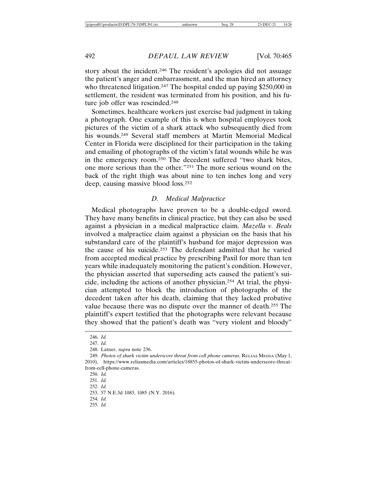story about the incident.246 The resident's apologies did not assuage the patient's anger and embarrassment, and the man hired an attorney who threatened litigation.<sup>247</sup> The hospital ended up paying \$250,000 in settlement, the resident was terminated from his position, and his future job offer was rescinded.248

Sometimes, healthcare workers just exercise bad judgment in taking a photograph. One example of this is when hospital employees took pictures of the victim of a shark attack who subsequently died from his wounds.<sup>249</sup> Several staff members at Martin Memorial Medical Center in Florida were disciplined for their participation in the taking and emailing of photographs of the victim's fatal wounds while he was in the emergency room.250 The decedent suffered "two shark bites, one more serious than the other."251 The more serious wound on the back of the right thigh was about nine to ten inches long and very deep, causing massive blood loss.252

#### *D. Medical Malpractice*

Medical photographs have proven to be a double-edged sword. They have many benefits in clinical practice, but they can also be used against a physician in a medical malpractice claim. *Mazella v. Beals* involved a malpractice claim against a physician on the basis that his substandard care of the plaintiff's husband for major depression was the cause of his suicide.253 The defendant admitted that he varied from accepted medical practice by prescribing Paxil for more than ten years while inadequately monitoring the patient's condition. However, the physician asserted that superseding acts caused the patient's suicide, including the actions of another physician.254 At trial, the physician attempted to block the introduction of photographs of the decedent taken after his death, claiming that they lacked probative value because there was no dispute over the manner of death.255 The plaintiff's expert testified that the photographs were relevant because they showed that the patient's death was "very violent and bloody"

<sup>246.</sup> *Id.*

<sup>247.</sup> *Id.*

<sup>248.</sup> Latner, *supra* note 236.

<sup>249.</sup> *Photos of shark victim underscore threat from cell phone cameras*, RELIAS MEDIA (May 1, 2010), https://www.reliasmedia.com/articles/18855-photos-of-shark-victim-underscore-threatfrom-cell-phone-cameras.

<sup>250.</sup> *Id.*

<sup>251.</sup> *Id.*

<sup>252.</sup> *Id.*

<sup>253. 57</sup> N.E.3d 1083, 1085 (N.Y. 2016).

<sup>254.</sup> *Id.*

<sup>255.</sup> *Id.*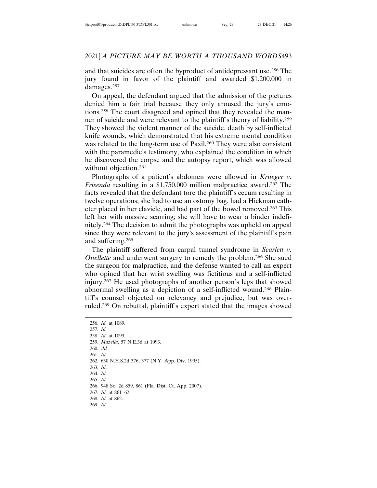and that suicides are often the byproduct of antidepressant use.256 The jury found in favor of the plaintiff and awarded \$1,200,000 in damages.257

On appeal, the defendant argued that the admission of the pictures denied him a fair trial because they only aroused the jury's emotions.258 The court disagreed and opined that they revealed the manner of suicide and were relevant to the plaintiff's theory of liability.259 They showed the violent manner of the suicide, death by self-inflicted knife wounds, which demonstrated that his extreme mental condition was related to the long-term use of Paxil.260 They were also consistent with the paramedic's testimony, who explained the condition in which he discovered the corpse and the autopsy report, which was allowed without objection.<sup>261</sup>

Photographs of a patient's abdomen were allowed in *Krueger v. Frisenda* resulting in a \$1,750,000 million malpractice award.<sup>262</sup> The facts revealed that the defendant tore the plaintiff's cecum resulting in twelve operations; she had to use an ostomy bag, had a Hickman catheter placed in her clavicle, and had part of the bowel removed.263 This left her with massive scarring; she will have to wear a binder indefinitely.264 The decision to admit the photographs was upheld on appeal since they were relevant to the jury's assessment of the plaintiff's pain and suffering.265

The plaintiff suffered from carpal tunnel syndrome in *Scarlett v. Ouellette* and underwent surgery to remedy the problem.266 She sued the surgeon for malpractice, and the defense wanted to call an expert who opined that her wrist swelling was fictitious and a self-inflicted injury.267 He used photographs of another person's legs that showed abnormal swelling as a depiction of a self-inflicted wound.268 Plaintiff's counsel objected on relevancy and prejudice, but was overruled.269 On rebuttal, plaintiff's expert stated that the images showed

256. *Id.* at 1089. 257. *Id.* 258. *Id.* at 1093. 259. *Mazella*, 57 N.E.3d at 1093. 260. .*Id.* 261. *Id.* 262. 630 N.Y.S.2d 376, 377 (N.Y. App. Div. 1995). 263. *Id*. 264. *Id.* 265. *Id.* 266. 948 So. 2d 859, 861 (Fla. Dist. Ct. App. 2007). 267. *Id.* at 861–62. 268. *Id.* at 862. 269. *Id.*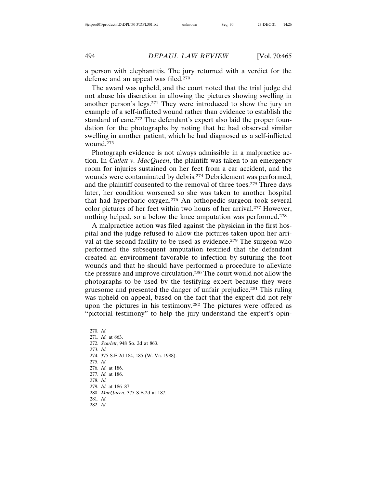a person with elephantitis. The jury returned with a verdict for the defense and an appeal was filed.270

The award was upheld, and the court noted that the trial judge did not abuse his discretion in allowing the pictures showing swelling in another person's legs.271 They were introduced to show the jury an example of a self-inflicted wound rather than evidence to establish the standard of care.272 The defendant's expert also laid the proper foundation for the photographs by noting that he had observed similar swelling in another patient, which he had diagnosed as a self-inflicted wound.273

Photograph evidence is not always admissible in a malpractice action. In *Catlett v. MacQueen*, the plaintiff was taken to an emergency room for injuries sustained on her feet from a car accident, and the wounds were contaminated by debris.274 Debridement was performed, and the plaintiff consented to the removal of three toes.<sup>275</sup> Three days later, her condition worsened so she was taken to another hospital that had hyperbaric oxygen.276 An orthopedic surgeon took several color pictures of her feet within two hours of her arrival.277 However, nothing helped, so a below the knee amputation was performed.278

A malpractice action was filed against the physician in the first hospital and the judge refused to allow the pictures taken upon her arrival at the second facility to be used as evidence.<sup>279</sup> The surgeon who performed the subsequent amputation testified that the defendant created an environment favorable to infection by suturing the foot wounds and that he should have performed a procedure to alleviate the pressure and improve circulation.280 The court would not allow the photographs to be used by the testifying expert because they were gruesome and presented the danger of unfair prejudice.281 This ruling was upheld on appeal, based on the fact that the expert did not rely upon the pictures in his testimony.282 The pictures were offered as "pictorial testimony" to help the jury understand the expert's opin-

270. *Id.* 271. *Id.* at 863. 272. *Scarlett*, 948 So. 2d at 863. 273. *Id.* 274. 375 S.E.2d 184, 185 (W. Va. 1988). 275. *Id.* 276. *Id.* at 186. 277. *Id.* at 186. 278. *Id.* 279. *Id.* at 186–87. 280. *MacQueen*, 375 S.E.2d at 187. 281. *Id.* 282. *Id.*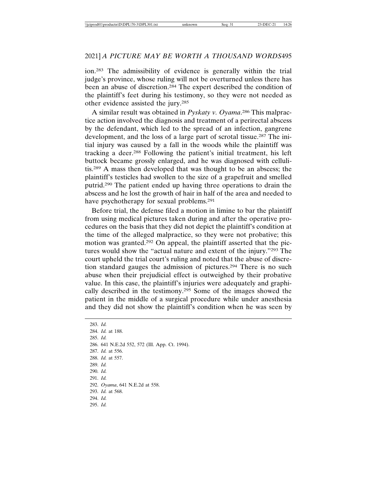ion.283 The admissibility of evidence is generally within the trial judge's province, whose ruling will not be overturned unless there has been an abuse of discretion.284 The expert described the condition of the plaintiff's feet during his testimony, so they were not needed as other evidence assisted the jury.285

A similar result was obtained in *Pyskaty v. Oyama*. 286 This malpractice action involved the diagnosis and treatment of a perirectal abscess by the defendant, which led to the spread of an infection, gangrene development, and the loss of a large part of scrotal tissue.287 The initial injury was caused by a fall in the woods while the plaintiff was tracking a deer.288 Following the patient's initial treatment, his left buttock became grossly enlarged, and he was diagnosed with cellulitis.289 A mass then developed that was thought to be an abscess; the plaintiff's testicles had swollen to the size of a grapefruit and smelled putrid.290 The patient ended up having three operations to drain the abscess and he lost the growth of hair in half of the area and needed to have psychotherapy for sexual problems.<sup>291</sup>

Before trial, the defense filed a motion in limine to bar the plaintiff from using medical pictures taken during and after the operative procedures on the basis that they did not depict the plaintiff's condition at the time of the alleged malpractice, so they were not probative; this motion was granted.292 On appeal, the plaintiff asserted that the pictures would show the "actual nature and extent of the injury."293 The court upheld the trial court's ruling and noted that the abuse of discretion standard gauges the admission of pictures.294 There is no such abuse when their prejudicial effect is outweighed by their probative value. In this case, the plaintiff's injuries were adequately and graphically described in the testimony.295 Some of the images showed the patient in the middle of a surgical procedure while under anesthesia and they did not show the plaintiff's condition when he was seen by

283. *Id.* 284. *Id.* at 188. 285. *Id.* 286. 641 N.E.2d 552, 572 (Ill. App. Ct. 1994). 287. *Id.* at 556. 288. *Id.* at 557. 289. *Id.* 290. *Id.* 291. *Id.* 292. *Oyama*, 641 N.E.2d at 558. 293. *Id.* at 568. 294. *Id.* 295. *Id.*